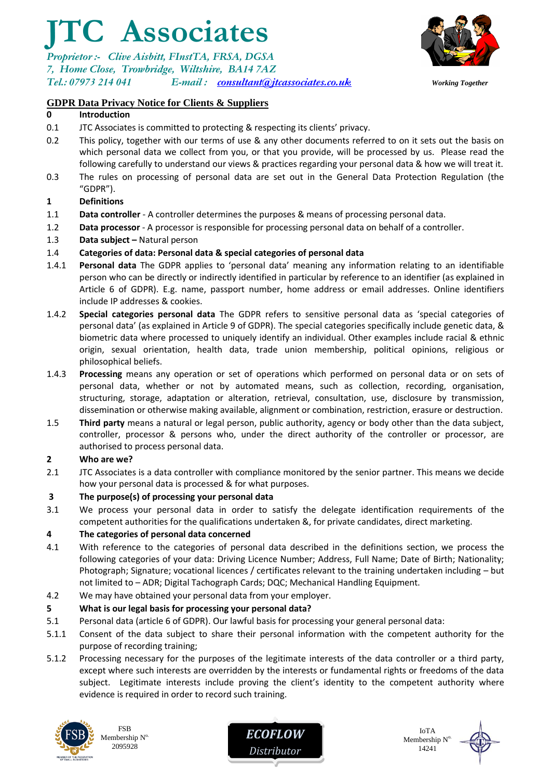# **JTC Associates**

*Proprietor :- Clive Aisbitt, FInstTA, FRSA, DGSA 7, Home Close, Trowbridge, Wiltshire, BA14 7AZ Tel.: 07973 214 041 E-mail : [consultant@jtcassociates.co.uk](mailto:consultant@jtcassociates.co.uk) Working Together*



## **GDPR Data Privacy Notice for Clients & Suppliers**

#### **0 Introduction**

- 0.1 JTC Associates is committed to protecting & respecting its clients' privacy.
- 0.2 This policy, together with our terms of use & any other documents referred to on it sets out the basis on which personal data we collect from you, or that you provide, will be processed by us. Please read the following carefully to understand our views & practices regarding your personal data & how we will treat it.
- 0.3 The rules on processing of personal data are set out in the General Data Protection Regulation (the "GDPR").

#### **1 Definitions**

- 1.1 **Data controller** A controller determines the purposes & means of processing personal data.
- 1.2 **Data processor** A processor is responsible for processing personal data on behalf of a controller.
- 1.3 **Data subject –** Natural person

#### 1.4 **Categories of data: Personal data & special categories of personal data**

- 1.4.1 **Personal data** The GDPR applies to 'personal data' meaning any information relating to an identifiable person who can be directly or indirectly identified in particular by reference to an identifier (as explained in Article 6 of GDPR). E.g. name, passport number, home address or email addresses. Online identifiers include IP addresses & cookies.
- 1.4.2 **Special categories personal data** The GDPR refers to sensitive personal data as 'special categories of personal data' (as explained in Article 9 of GDPR). The special categories specifically include genetic data, & biometric data where processed to uniquely identify an individual. Other examples include racial & ethnic origin, sexual orientation, health data, trade union membership, political opinions, religious or philosophical beliefs.
- 1.4.3 **Processing** means any operation or set of operations which performed on personal data or on sets of personal data, whether or not by automated means, such as collection, recording, organisation, structuring, storage, adaptation or alteration, retrieval, consultation, use, disclosure by transmission, dissemination or otherwise making available, alignment or combination, restriction, erasure or destruction.
- 1.5 **Third party** means a natural or legal person, public authority, agency or body other than the data subject, controller, processor & persons who, under the direct authority of the controller or processor, are authorised to process personal data.

#### **2 Who are we?**

2.1 JTC Associates is a data controller with compliance monitored by the senior partner. This means we decide how your personal data is processed & for what purposes.

#### **3 The purpose(s) of processing your personal data**

3.1 We process your personal data in order to satisfy the delegate identification requirements of the competent authorities for the qualifications undertaken &, for private candidates, direct marketing.

#### **4 The categories of personal data concerned**

- 4.1 With reference to the categories of personal data described in the definitions section, we process the following categories of your data: Driving Licence Number; Address, Full Name; Date of Birth; Nationality; Photograph; Signature; vocational licences / certificates relevant to the training undertaken including – but not limited to – ADR; Digital Tachograph Cards; DQC; Mechanical Handling Equipment.
- 4.2 We may have obtained your personal data from your employer.

#### **5 What is our legal basis for processing your personal data?**

- 5.1 Personal data (article 6 of GDPR). Our lawful basis for processing your general personal data:
- 5.1.1 Consent of the data subject to share their personal information with the competent authority for the purpose of recording training;
- 5.1.2 Processing necessary for the purposes of the legitimate interests of the data controller or a third party, except where such interests are overridden by the interests or fundamental rights or freedoms of the data subject. Legitimate interests include proving the client's identity to the competent authority where evidence is required in order to record such training.